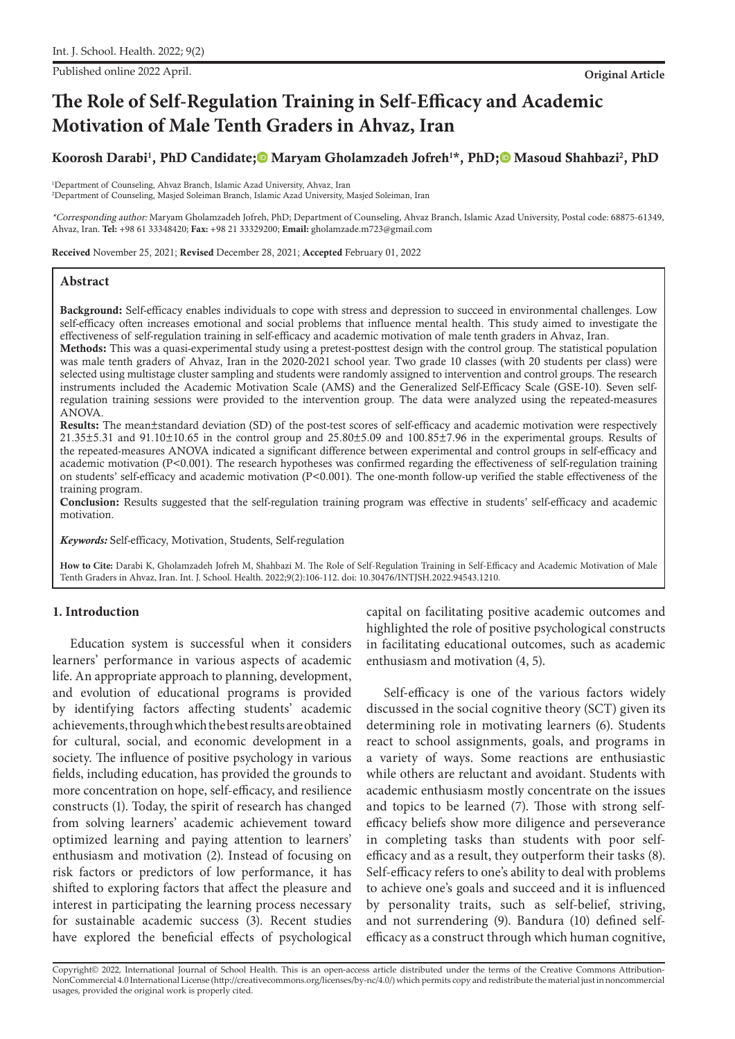Published online 2022 April. **Original Article**

# **The Role of Self-Regulation Training in Self-Efficacy and Academic Motivation of Male Tenth Graders in Ahvaz, Iran**

# Koorosh Darabi<sup>1</sup>, PhD Candidate;<sup>®</sup> Maryam Gholamzadeh Jofreh<sup>1\*</sup>, PhD;<sup>®</sup> Masoud Shahbazi<sup>2</sup>, PhD

1 Department of Counseling, Ahvaz Branch, Islamic Azad University, Ahvaz, Iran 2 Department of Counseling, Masjed Soleiman Branch, Islamic Azad University, Masjed Soleiman, Iran

\*Corresponding author: Maryam Gholamzadeh Jofreh, PhD; Department of Counseling, Ahvaz Branch, Islamic Azad University, Postal code: 68875-61349, Ahvaz, Iran. **Tel:** +98 61 33348420; **Fax:** +98 21 33329200; **Email:** gholamzade.m723@gmail.com

Received November 25, 2021; Revised December 28, 2021; Accepted February 01, 2022

# **Abstract**

Background: Self-efficacy enables individuals to cope with stress and depression to succeed in environmental challenges. Low self-efficacy often increases emotional and social problems that influence mental health. This study aimed to investigate the effectiveness of self-regulation training in self-efficacy and academic motivation of male tenth graders in Ahvaz, Iran.

Methods: This was a quasi-experimental study using a pretest-posttest design with the control group. The statistical population was male tenth graders of Ahvaz, Iran in the 2020-2021 school year. Two grade 10 classes (with 20 students per class) were selected using multistage cluster sampling and students were randomly assigned to intervention and control groups. The research instruments included the Academic Motivation Scale (AMS) and the Generalized Self-Efficacy Scale (GSE-10). Seven selfregulation training sessions were provided to the intervention group. The data were analyzed using the repeated-measures ANOVA.

Results: The mean±standard deviation (SD) of the post-test scores of self-efficacy and academic motivation were respectively 21.35±5.31 and 91.10±10.65 in the control group and 25.80±5.09 and 100.85±7.96 in the experimental groups. Results of the repeated-measures ANOVA indicated a significant difference between experimental and control groups in self-efficacy and academic motivation (P<0.001). The research hypotheses was confirmed regarding the effectiveness of self-regulation training on students' self-efficacy and academic motivation (P<0.001). The one-month follow-up verified the stable effectiveness of the training program.

Conclusion: Results suggested that the self-regulation training program was effective in students' self-efficacy and academic motivation.

*Keywords:* Self-efficacy, Motivation, Students, Self-regulation

**How to Cite:** Darabi K, Gholamzadeh Jofreh M, Shahbazi M. The Role of Self-Regulation Training in Self-Efficacy and Academic Motivation of Male Tenth Graders in Ahvaz, Iran. Int. J. School. Health. 2022;9(2):106-112. doi: 10.30476/INTJSH.2022.94543.1210.

# **1. Introduction**

Education system is successful when it considers learners' performance in various aspects of academic life. An appropriate approach to planning, development, and evolution of educational programs is provided by identifying factors affecting students' academic achievements, through which the best results are obtained for cultural, social, and economic development in a society. The influence of positive psychology in various fields, including education, has provided the grounds to more concentration on hope, self-efficacy, and resilience constructs (1). Today, the spirit of research has changed from solving learners' academic achievement toward optimized learning and paying attention to learners' enthusiasm and motivation (2). Instead of focusing on risk factors or predictors of low performance, it has shifted to exploring factors that affect the pleasure and interest in participating the learning process necessary for sustainable academic success (3). Recent studies have explored the beneficial effects of psychological

capital on facilitating positive academic outcomes and highlighted the role of positive psychological constructs in facilitating educational outcomes, such as academic enthusiasm and motivation (4, 5).

Self-efficacy is one of the various factors widely discussed in the social cognitive theory (SCT) given its determining role in motivating learners (6). Students react to school assignments, goals, and programs in a variety of ways. Some reactions are enthusiastic while others are reluctant and avoidant. Students with academic enthusiasm mostly concentrate on the issues and topics to be learned (7). Those with strong selfefficacy beliefs show more diligence and perseverance in completing tasks than students with poor selfefficacy and as a result, they outperform their tasks (8). Self-efficacy refers to one's ability to deal with problems to achieve one's goals and succeed and it is influenced by personality traits, such as self-belief, striving, and not surrendering (9). Bandura (10) defined selfefficacy as a construct through which human cognitive,

Copyright© 2022, International Journal of School Health. This is an open-access article distributed under the terms of the Creative Commons Attribution-NonCommercial 4.0 International License (http://creativecommons.org/licenses/by-nc/4.0/) which permits copy and redistribute the material just in noncommercial usages, provided the original work is properly cited.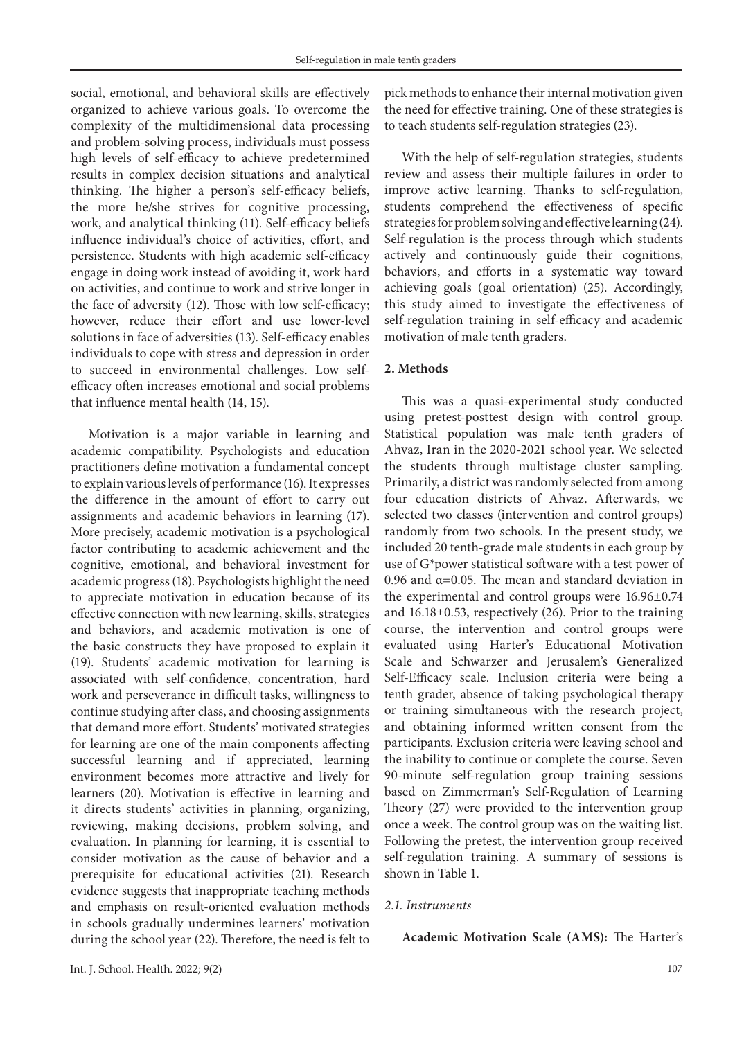social, emotional, and behavioral skills are effectively organized to achieve various goals. To overcome the complexity of the multidimensional data processing and problem-solving process, individuals must possess high levels of self-efficacy to achieve predetermined results in complex decision situations and analytical thinking. The higher a person's self-efficacy beliefs, the more he/she strives for cognitive processing, work, and analytical thinking (11). Self-efficacy beliefs influence individual's choice of activities, effort, and persistence. Students with high academic self-efficacy engage in doing work instead of avoiding it, work hard on activities, and continue to work and strive longer in the face of adversity (12). Those with low self-efficacy; however, reduce their effort and use lower-level solutions in face of adversities (13). Self-efficacy enables individuals to cope with stress and depression in order to succeed in environmental challenges. Low selfefficacy often increases emotional and social problems that influence mental health (14, 15).

Motivation is a major variable in learning and academic compatibility. Psychologists and education practitioners define motivation a fundamental concept to explain various levels of performance (16). It expresses the difference in the amount of effort to carry out assignments and academic behaviors in learning (17). More precisely, academic motivation is a psychological factor contributing to academic achievement and the cognitive, emotional, and behavioral investment for academic progress (18). Psychologists highlight the need to appreciate motivation in education because of its effective connection with new learning, skills, strategies and behaviors, and academic motivation is one of the basic constructs they have proposed to explain it (19). Students' academic motivation for learning is associated with self-confidence, concentration, hard work and perseverance in difficult tasks, willingness to continue studying after class, and choosing assignments that demand more effort. Students' motivated strategies for learning are one of the main components affecting successful learning and if appreciated, learning environment becomes more attractive and lively for learners (20). Motivation is effective in learning and it directs students' activities in planning, organizing, reviewing, making decisions, problem solving, and evaluation. In planning for learning, it is essential to consider motivation as the cause of behavior and a prerequisite for educational activities (21). Research evidence suggests that inappropriate teaching methods and emphasis on result-oriented evaluation methods in schools gradually undermines learners' motivation during the school year (22). Therefore, the need is felt to pick methods to enhance their internal motivation given the need for effective training. One of these strategies is to teach students self-regulation strategies (23).

With the help of self-regulation strategies, students review and assess their multiple failures in order to improve active learning. Thanks to self-regulation, students comprehend the effectiveness of specific strategies for problem solving and effective learning (24). Self-regulation is the process through which students actively and continuously guide their cognitions, behaviors, and efforts in a systematic way toward achieving goals (goal orientation) (25). Accordingly, this study aimed to investigate the effectiveness of self-regulation training in self-efficacy and academic motivation of male tenth graders.

# **2. Methods**

This was a quasi-experimental study conducted using pretest-posttest design with control group. Statistical population was male tenth graders of Ahvaz, Iran in the 2020-2021 school year. We selected the students through multistage cluster sampling. Primarily, a district was randomly selected from among four education districts of Ahvaz. Afterwards, we selected two classes (intervention and control groups) randomly from two schools. In the present study, we included 20 tenth-grade male students in each group by use of G\*power statistical software with a test power of 0.96 and  $\alpha$ =0.05. The mean and standard deviation in the experimental and control groups were 16.96±0.74 and 16.18±0.53, respectively (26). Prior to the training course, the intervention and control groups were evaluated using Harter's Educational Motivation Scale and Schwarzer and Jerusalem's Generalized Self-Efficacy scale. Inclusion criteria were being a tenth grader, absence of taking psychological therapy or training simultaneous with the research project, and obtaining informed written consent from the participants. Exclusion criteria were leaving school and the inability to continue or complete the course. Seven 90-minute self-regulation group training sessions based on Zimmerman's Self-Regulation of Learning Theory (27) were provided to the intervention group once a week. The control group was on the waiting list. Following the pretest, the intervention group received self-regulation training. A summary of sessions is shown in Table 1.

# *2.1. Instruments*

# **Academic Motivation Scale (AMS):** The Harter's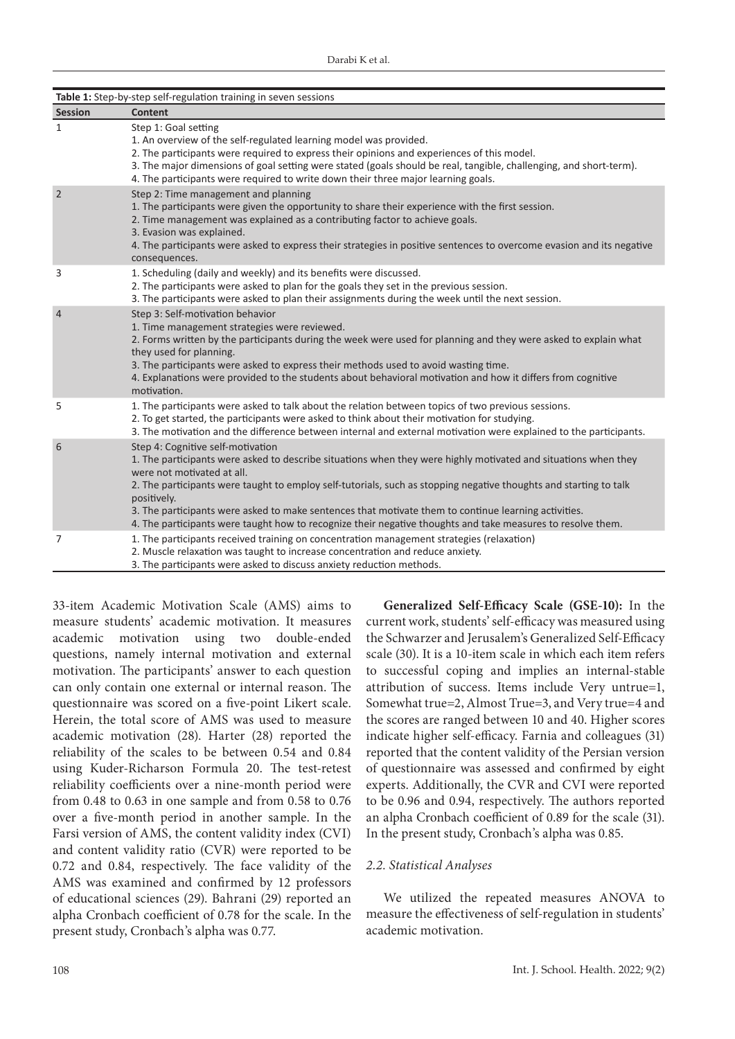| Table 1: Step-by-step self-regulation training in seven sessions |                                                                                                                                                                                                                                                                                                                                                                                                                                                                                                                                              |  |  |  |  |
|------------------------------------------------------------------|----------------------------------------------------------------------------------------------------------------------------------------------------------------------------------------------------------------------------------------------------------------------------------------------------------------------------------------------------------------------------------------------------------------------------------------------------------------------------------------------------------------------------------------------|--|--|--|--|
| <b>Session</b>                                                   | <b>Content</b>                                                                                                                                                                                                                                                                                                                                                                                                                                                                                                                               |  |  |  |  |
| $\mathbf{1}$                                                     | Step 1: Goal setting<br>1. An overview of the self-regulated learning model was provided.<br>2. The participants were required to express their opinions and experiences of this model.<br>3. The major dimensions of goal setting were stated (goals should be real, tangible, challenging, and short-term).<br>4. The participants were required to write down their three major learning goals.                                                                                                                                           |  |  |  |  |
| $\overline{2}$                                                   | Step 2: Time management and planning<br>1. The participants were given the opportunity to share their experience with the first session.<br>2. Time management was explained as a contributing factor to achieve goals.<br>3. Evasion was explained.<br>4. The participants were asked to express their strategies in positive sentences to overcome evasion and its negative<br>consequences.                                                                                                                                               |  |  |  |  |
| 3                                                                | 1. Scheduling (daily and weekly) and its benefits were discussed.<br>2. The participants were asked to plan for the goals they set in the previous session.<br>3. The participants were asked to plan their assignments during the week until the next session.                                                                                                                                                                                                                                                                              |  |  |  |  |
| $\overline{4}$                                                   | Step 3: Self-motivation behavior<br>1. Time management strategies were reviewed.<br>2. Forms written by the participants during the week were used for planning and they were asked to explain what<br>they used for planning.<br>3. The participants were asked to express their methods used to avoid wasting time.<br>4. Explanations were provided to the students about behavioral motivation and how it differs from cognitive<br>motivation.                                                                                          |  |  |  |  |
| 5                                                                | 1. The participants were asked to talk about the relation between topics of two previous sessions.<br>2. To get started, the participants were asked to think about their motivation for studying.<br>3. The motivation and the difference between internal and external motivation were explained to the participants.                                                                                                                                                                                                                      |  |  |  |  |
| 6                                                                | Step 4: Cognitive self-motivation<br>1. The participants were asked to describe situations when they were highly motivated and situations when they<br>were not motivated at all.<br>2. The participants were taught to employ self-tutorials, such as stopping negative thoughts and starting to talk<br>positively.<br>3. The participants were asked to make sentences that motivate them to continue learning activities.<br>4. The participants were taught how to recognize their negative thoughts and take measures to resolve them. |  |  |  |  |
| 7                                                                | 1. The participants received training on concentration management strategies (relaxation)<br>2. Muscle relaxation was taught to increase concentration and reduce anxiety.<br>3. The participants were asked to discuss anxiety reduction methods.                                                                                                                                                                                                                                                                                           |  |  |  |  |

33-item Academic Motivation Scale (AMS) aims to measure students' academic motivation. It measures academic motivation using two double-ended questions, namely internal motivation and external motivation. The participants' answer to each question can only contain one external or internal reason. The questionnaire was scored on a five-point Likert scale. Herein, the total score of AMS was used to measure academic motivation (28). Harter (28) reported the reliability of the scales to be between 0.54 and 0.84 using Kuder-Richarson Formula 20. The test-retest reliability coefficients over a nine-month period were from 0.48 to 0.63 in one sample and from 0.58 to 0.76 over a five-month period in another sample. In the Farsi version of AMS, the content validity index (CVI) and content validity ratio (CVR) were reported to be 0.72 and 0.84, respectively. The face validity of the AMS was examined and confirmed by 12 professors of educational sciences (29). Bahrani (29) reported an alpha Cronbach coefficient of 0.78 for the scale. In the present study, Cronbach's alpha was 0.77.

**Generalized Self-Efficacy Scale (GSE-10):** In the current work, students' self-efficacy was measured using the Schwarzer and Jerusalem's Generalized Self-Efficacy scale (30). It is a 10-item scale in which each item refers to successful coping and implies an internal-stable attribution of success. Items include Very untrue=1, Somewhat true=2, Almost True=3, and Very true=4 and the scores are ranged between 10 and 40. Higher scores indicate higher self-efficacy. Farnia and colleagues (31) reported that the content validity of the Persian version of questionnaire was assessed and confirmed by eight experts. Additionally, the CVR and CVI were reported to be 0.96 and 0.94, respectively. The authors reported an alpha Cronbach coefficient of 0.89 for the scale (31). In the present study, Cronbach's alpha was 0.85.

# *2.2. Statistical Analyses*

We utilized the repeated measures ANOVA to measure the effectiveness of self-regulation in students' academic motivation.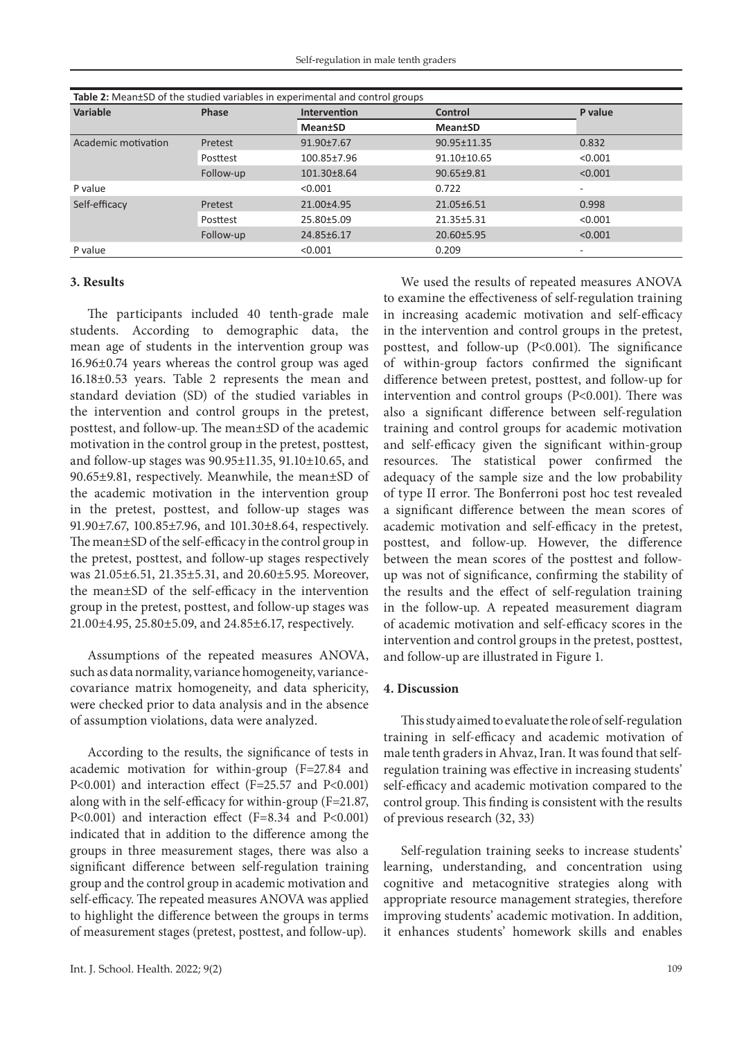| Table 2: Mean±SD of the studied variables in experimental and control groups |              |                 |                 |                          |  |  |
|------------------------------------------------------------------------------|--------------|-----------------|-----------------|--------------------------|--|--|
| <b>Variable</b>                                                              | <b>Phase</b> | Intervention    | Control         | P value                  |  |  |
|                                                                              |              | <b>Mean</b> tSD | <b>Mean</b> tSD |                          |  |  |
| Academic motivation                                                          | Pretest      | 91.90±7.67      | 90.95±11.35     | 0.832                    |  |  |
|                                                                              | Posttest     | 100.85±7.96     | 91.10±10.65     | < 0.001                  |  |  |
|                                                                              | Follow-up    | 101.30±8.64     | 90.65±9.81      | < 0.001                  |  |  |
| P value                                                                      |              | < 0.001         | 0.722           | $\overline{\phantom{a}}$ |  |  |
| Self-efficacy                                                                | Pretest      | 21.00±4.95      | 21.05±6.51      | 0.998                    |  |  |
|                                                                              | Posttest     | 25.80±5.09      | 21.35±5.31      | < 0.001                  |  |  |
|                                                                              | Follow-up    | 24.85±6.17      | 20.60±5.95      | < 0.001                  |  |  |
| P value                                                                      |              | < 0.001         | 0.209           | $\overline{\phantom{a}}$ |  |  |

# **3. Results**

The participants included 40 tenth-grade male students. According to demographic data, the mean age of students in the intervention group was 16.96±0.74 years whereas the control group was aged 16.18±0.53 years. Table 2 represents the mean and standard deviation (SD) of the studied variables in the intervention and control groups in the pretest, posttest, and follow-up. The mean±SD of the academic motivation in the control group in the pretest, posttest, and follow-up stages was 90.95±11.35, 91.10±10.65, and 90.65±9.81, respectively. Meanwhile, the mean±SD of the academic motivation in the intervention group in the pretest, posttest, and follow-up stages was 91.90±7.67, 100.85±7.96, and 101.30±8.64, respectively. The mean±SD of the self-efficacy in the control group in the pretest, posttest, and follow-up stages respectively was 21.05±6.51, 21.35±5.31, and 20.60±5.95. Moreover, the mean±SD of the self-efficacy in the intervention group in the pretest, posttest, and follow-up stages was 21.00±4.95, 25.80±5.09, and 24.85±6.17, respectively.

Assumptions of the repeated measures ANOVA, such as data normality, variance homogeneity, variancecovariance matrix homogeneity, and data sphericity, were checked prior to data analysis and in the absence of assumption violations, data were analyzed.

According to the results, the significance of tests in academic motivation for within-group (F=27.84 and P<0.001) and interaction effect (F=25.57 and P<0.001) along with in the self-efficacy for within-group (F=21.87, P<0.001) and interaction effect (F=8.34 and P<0.001) indicated that in addition to the difference among the groups in three measurement stages, there was also a significant difference between self-regulation training group and the control group in academic motivation and self-efficacy. The repeated measures ANOVA was applied to highlight the difference between the groups in terms of measurement stages (pretest, posttest, and follow-up).

We used the results of repeated measures ANOVA to examine the effectiveness of self-regulation training in increasing academic motivation and self-efficacy in the intervention and control groups in the pretest, posttest, and follow-up (P<0.001). The significance of within-group factors confirmed the significant difference between pretest, posttest, and follow-up for intervention and control groups (P<0.001). There was also a significant difference between self-regulation training and control groups for academic motivation and self-efficacy given the significant within-group resources. The statistical power confirmed the adequacy of the sample size and the low probability of type II error. The Bonferroni post hoc test revealed a significant difference between the mean scores of academic motivation and self-efficacy in the pretest, posttest, and follow-up. However, the difference between the mean scores of the posttest and followup was not of significance, confirming the stability of the results and the effect of self-regulation training in the follow-up. A repeated measurement diagram of academic motivation and self-efficacy scores in the intervention and control groups in the pretest, posttest, and follow-up are illustrated in Figure 1.

#### **4. Discussion**

This study aimed to evaluate the role of self-regulation training in self-efficacy and academic motivation of male tenth graders in Ahvaz, Iran. It was found that selfregulation training was effective in increasing students' self-efficacy and academic motivation compared to the control group. This finding is consistent with the results of previous research (32, 33)

Self-regulation training seeks to increase students' learning, understanding, and concentration using cognitive and metacognitive strategies along with appropriate resource management strategies, therefore improving students' academic motivation. In addition, it enhances students' homework skills and enables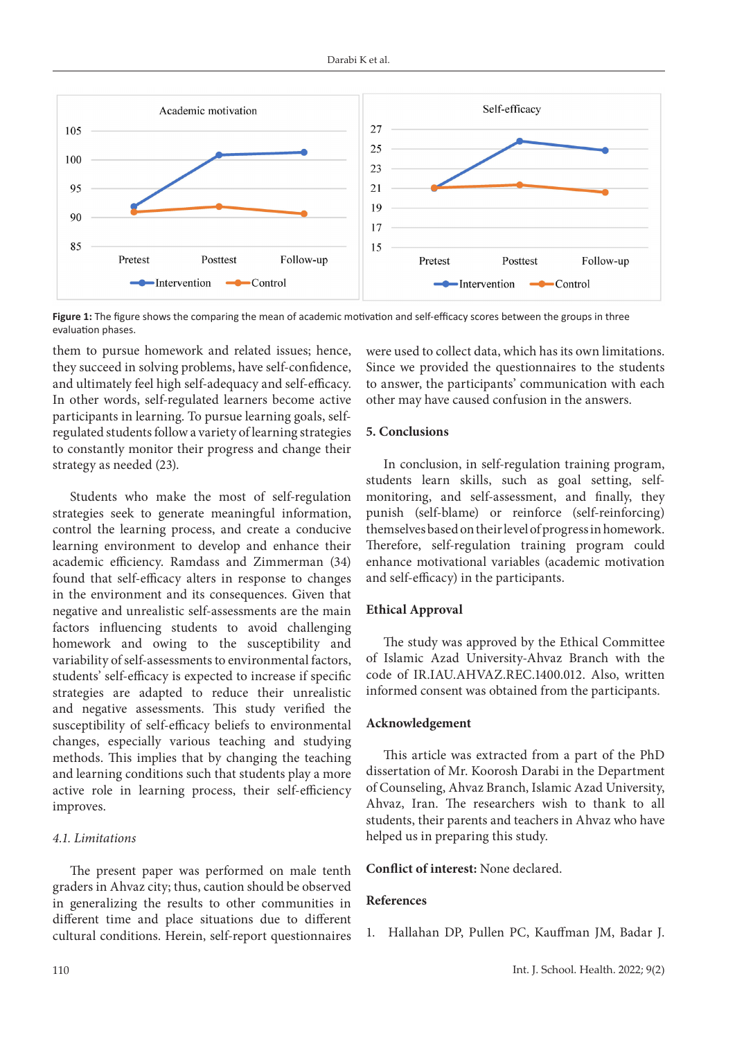

**Figure 1:** The figure shows the comparing the mean of academic motivation and self-efficacy scores between the groups in three evaluation phases.

them to pursue homework and related issues; hence, they succeed in solving problems, have self-confidence, and ultimately feel high self-adequacy and self-efficacy. In other words, self-regulated learners become active participants in learning. To pursue learning goals, selfregulated students follow a variety of learning strategies to constantly monitor their progress and change their strategy as needed (23).

Students who make the most of self-regulation strategies seek to generate meaningful information, control the learning process, and create a conducive learning environment to develop and enhance their academic efficiency. Ramdass and Zimmerman (34) found that self-efficacy alters in response to changes in the environment and its consequences. Given that negative and unrealistic self-assessments are the main factors influencing students to avoid challenging homework and owing to the susceptibility and variability of self-assessments to environmental factors, students' self-efficacy is expected to increase if specific strategies are adapted to reduce their unrealistic and negative assessments. This study verified the susceptibility of self-efficacy beliefs to environmental changes, especially various teaching and studying methods. This implies that by changing the teaching and learning conditions such that students play a more active role in learning process, their self-efficiency improves.

# *4.1. Limitations*

The present paper was performed on male tenth graders in Ahvaz city; thus, caution should be observed in generalizing the results to other communities in different time and place situations due to different cultural conditions. Herein, self-report questionnaires were used to collect data, which has its own limitations. Since we provided the questionnaires to the students to answer, the participants' communication with each other may have caused confusion in the answers.

# **5. Conclusions**

In conclusion, in self-regulation training program, students learn skills, such as goal setting, selfmonitoring, and self-assessment, and finally, they punish (self-blame) or reinforce (self-reinforcing) themselves based on their level of progress in homework. Therefore, self-regulation training program could enhance motivational variables (academic motivation and self-efficacy) in the participants.

# **Ethical Approval**

The study was approved by the Ethical Committee of Islamic Azad University-Ahvaz Branch with the code of IR.IAU.AHVAZ.REC.1400.012. Also, written informed consent was obtained from the participants.

# **Acknowledgement**

This article was extracted from a part of the PhD dissertation of Mr. Koorosh Darabi in the Department of Counseling, Ahvaz Branch, Islamic Azad University, Ahvaz, Iran. The researchers wish to thank to all students, their parents and teachers in Ahvaz who have helped us in preparing this study.

# **Conflict of interest:** None declared.

# **References**

1. Hallahan DP, Pullen PC, Kauffman JM, Badar J.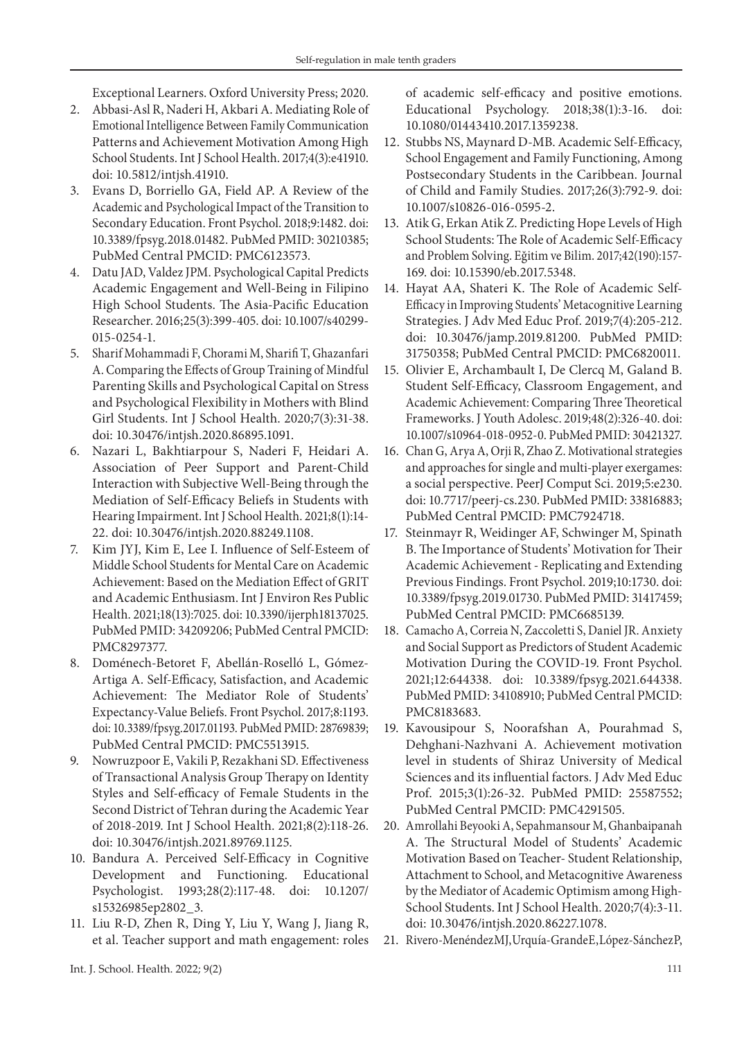Exceptional Learners. Oxford University Press; 2020.

- 2. Abbasi-Asl R, Naderi H, Akbari A. Mediating Role of Emotional Intelligence Between Family Communication Patterns and Achievement Motivation Among High School Students. Int J School Health. 2017;4(3):e41910. doi: 10.5812/intjsh.41910.
- 3. Evans D, Borriello GA, Field AP. A Review of the Academic and Psychological Impact of the Transition to Secondary Education. Front Psychol. 2018;9:1482. doi: 10.3389/fpsyg.2018.01482. PubMed PMID: 30210385; PubMed Central PMCID: PMC6123573.
- 4. Datu JAD, Valdez JPM. Psychological Capital Predicts Academic Engagement and Well-Being in Filipino High School Students. The Asia-Pacific Education Researcher. 2016;25(3):399-405. doi: 10.1007/s40299- 015-0254-1.
- 5. Sharif Mohammadi F, Chorami M, Sharifi T, Ghazanfari A. Comparing the Effects of Group Training of Mindful Parenting Skills and Psychological Capital on Stress and Psychological Flexibility in Mothers with Blind Girl Students. Int J School Health. 2020;7(3):31-38. doi: 10.30476/intjsh.2020.86895.1091.
- 6. Nazari L, Bakhtiarpour S, Naderi F, Heidari A. Association of Peer Support and Parent-Child Interaction with Subjective Well-Being through the Mediation of Self-Efficacy Beliefs in Students with Hearing Impairment. Int J School Health. 2021;8(1):14- 22. doi: 10.30476/intjsh.2020.88249.1108.
- 7. Kim JYJ, Kim E, Lee I. Influence of Self-Esteem of Middle School Students for Mental Care on Academic Achievement: Based on the Mediation Effect of GRIT and Academic Enthusiasm. Int J Environ Res Public Health. 2021;18(13):7025. doi: 10.3390/ijerph18137025. PubMed PMID: 34209206; PubMed Central PMCID: PMC8297377.
- 8. Doménech-Betoret F, Abellán-Roselló L, Gómez-Artiga A. Self-Efficacy, Satisfaction, and Academic Achievement: The Mediator Role of Students' Expectancy-Value Beliefs. Front Psychol. 2017;8:1193. doi: 10.3389/fpsyg.2017.01193. PubMed PMID: 28769839; PubMed Central PMCID: PMC5513915.
- 9. Nowruzpoor E, Vakili P, Rezakhani SD. Effectiveness of Transactional Analysis Group Therapy on Identity Styles and Self-efficacy of Female Students in the Second District of Tehran during the Academic Year of 2018-2019. Int J School Health. 2021;8(2):118-26. doi: 10.30476/intjsh.2021.89769.1125.
- 10. Bandura A. Perceived Self-Efficacy in Cognitive Development and Functioning. Educational Psychologist. 1993;28(2):117-48. doi: 10.1207/ s15326985ep2802\_3.
- 11. Liu R-D, Zhen R, Ding Y, Liu Y, Wang J, Jiang R, et al. Teacher support and math engagement: roles

of academic self-efficacy and positive emotions. Educational Psychology. 2018;38(1):3-16. doi: 10.1080/01443410.2017.1359238.

- 12. Stubbs NS, Maynard D-MB. Academic Self-Efficacy, School Engagement and Family Functioning, Among Postsecondary Students in the Caribbean. Journal of Child and Family Studies. 2017;26(3):792-9. doi: 10.1007/s10826-016-0595-2.
- 13. Atik G, Erkan Atik Z. Predicting Hope Levels of High School Students: The Role of Academic Self-Efficacy and Problem Solving. Eğitim ve Bilim. 2017;42(190):157- 169. doi: 10.15390/eb.2017.5348.
- 14. Hayat AA, Shateri K. The Role of Academic Self-Efficacy in Improving Students' Metacognitive Learning Strategies. J Adv Med Educ Prof. 2019;7(4):205-212. doi: 10.30476/jamp.2019.81200. PubMed PMID: 31750358; PubMed Central PMCID: PMC6820011.
- 15. Olivier E, Archambault I, De Clercq M, Galand B. Student Self-Efficacy, Classroom Engagement, and Academic Achievement: Comparing Three Theoretical Frameworks. J Youth Adolesc. 2019;48(2):326-40. doi: 10.1007/s10964-018-0952-0. PubMed PMID: 30421327.
- 16. Chan G, Arya A, Orji R, Zhao Z. Motivational strategies and approaches for single and multi-player exergames: a social perspective. PeerJ Comput Sci. 2019;5:e230. doi: 10.7717/peerj-cs.230. PubMed PMID: 33816883; PubMed Central PMCID: PMC7924718.
- 17. Steinmayr R, Weidinger AF, Schwinger M, Spinath B. The Importance of Students' Motivation for Their Academic Achievement - Replicating and Extending Previous Findings. Front Psychol. 2019;10:1730. doi: 10.3389/fpsyg.2019.01730. PubMed PMID: 31417459; PubMed Central PMCID: PMC6685139.
- 18. Camacho A, Correia N, Zaccoletti S, Daniel JR. Anxiety and Social Support as Predictors of Student Academic Motivation During the COVID-19. Front Psychol. 2021;12:644338. doi: 10.3389/fpsyg.2021.644338. PubMed PMID: 34108910; PubMed Central PMCID: PMC8183683.
- 19. Kavousipour S, Noorafshan A, Pourahmad S, Dehghani-Nazhvani A. Achievement motivation level in students of Shiraz University of Medical Sciences and its influential factors. J Adv Med Educ Prof. 2015;3(1):26-32. PubMed PMID: 25587552; PubMed Central PMCID: PMC4291505.
- 20. Amrollahi Beyooki A, Sepahmansour M, Ghanbaipanah A. The Structural Model of Students' Academic Motivation Based on Teacher- Student Relationship, Attachment to School, and Metacognitive Awareness by the Mediator of Academic Optimism among High-School Students. Int J School Health. 2020;7(4):3-11. doi: 10.30476/intjsh.2020.86227.1078.
- 21. Rivero-MenéndezMJ, Urquía-Grande E, López-Sánchez P,